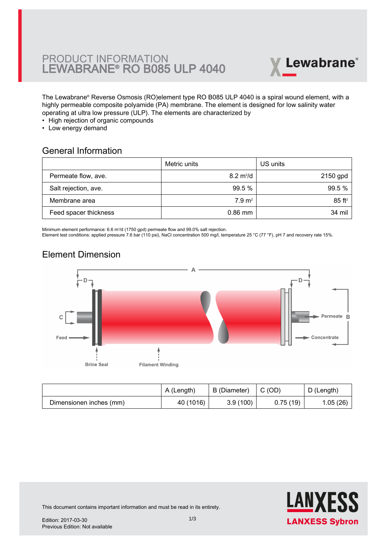# PRODUCT INFORMATION LEWABRANE® RO B085 ULP 4040



The Lewabrane® Reverse Osmosis (RO)element type RO B085 ULP 4040 is a spiral wound element, with a [highly permeable composite polyamide \(PA\) membrane. The element is designed for low salinity water](https://www.pureaqua.com/lanxess-lewabrane-b085-ulp-4040-membrane/) operating at ultra low pressure (ULP). The elements are characterized by

- High rejection of organic compounds
- Low energy demand

#### General Information

|                       | Metric units               | US units             |
|-----------------------|----------------------------|----------------------|
| Permeate flow, ave.   | $8.2 \text{ m}^3/\text{d}$ | 2150 gpd             |
| Salt rejection, ave.  | 99.5%                      | 99.5 %               |
| Membrane area         | $7.9 \text{ m}^2$          | $85$ ft <sup>2</sup> |
| Feed spacer thickness | $0.86$ mm                  | 34 mil               |

Minimum element performance: 6.6 m<sup>3</sup>/d (1750 gpd) permeate flow and 99.0% salt rejection.

Element test conditions: applied pressure 7.6 bar (110 psi), NaCl concentration 500 mg/l, temperature 25 °C (77 °F), pH 7 and recovery rate 15%.

# Element Dimension



|                         | A (Length) | B (Diameter) | C (OD)   | D (Length) |
|-------------------------|------------|--------------|----------|------------|
| Dimensionen inches (mm) | 40 (1016)  | 3.9(100)     | 0.75(19) | 1.05(26)   |



This document contains important information and must be read in its entirety.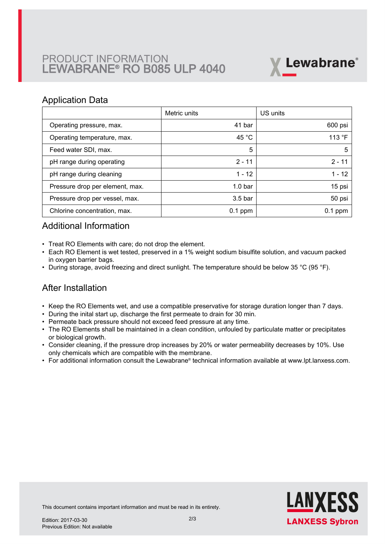# PRODUCT INFORMATION LEWABRANE® RO B085 ULP 4040



### Application Data

|                                 | Metric units       | US units  |
|---------------------------------|--------------------|-----------|
| Operating pressure, max.        | 41 bar             | 600 psi   |
| Operating temperature, max.     | 45 °C              | 113 °F    |
| Feed water SDI, max.            | 5                  | 5         |
| pH range during operating       | $2 - 11$           | $2 - 11$  |
| pH range during cleaning        | $1 - 12$           | $1 - 12$  |
| Pressure drop per element, max. | 1.0 <sub>bar</sub> | 15 psi    |
| Pressure drop per vessel, max.  | $3.5b$ ar          | 50 psi    |
| Chlorine concentration, max.    | $0.1$ ppm          | $0.1$ ppm |

## Additional Information

- Treat RO Elements with care; do not drop the element.
- Each RO Element is wet tested, preserved in a 1% weight sodium bisulfite solution, and vacuum packed in oxygen barrier bags.
- During storage, avoid freezing and direct sunlight. The temperature should be below 35 °C (95 °F).

## After Installation

- Keep the RO Elements wet, and use a compatible preservative for storage duration longer than 7 days.
- During the inital start up, discharge the first permeate to drain for 30 min.
- Permeate back pressure should not exceed feed pressure at any time.
- The RO Elements shall be maintained in a clean condition, unfouled by particulate matter or precipitates or biological growth.
- $\bullet~$  Consider cleaning, if the pressure drop increases by 20% or water permeability decreases by 10%. Use only chemicals which are compatible with the membrane.
- For additional information consult the Lewabrane® technical information available at www.lpt.lanxess.com.



This document contains important information and must be read in its entirety.